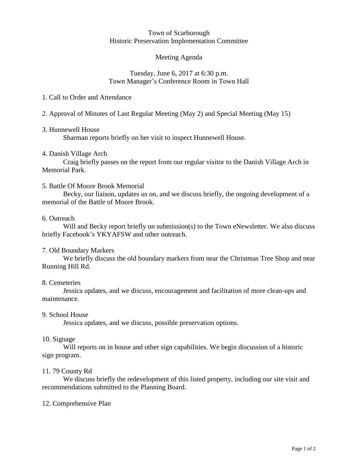#### Town of Scarborough Historic Preservation Implementation Committee

## Meeting Agenda

## Tuesday, June 6, 2017 at 6:30 p.m. Town Manager's Conference Room in Town Hall

## 1. Call to Order and Attendance

2. Approval of Minutes of Last Regular Meeting (May 2) and Special Meeting (May 15)

## 3. Hunnewell House

Sharman reports briefly on her visit to inspect Hunnewell House.

## 4. Danish Village Arch

Craig briefly passes on the report from our regular visitor to the Danish Village Arch in Memorial Park.

## 5. Battle Of Moore Brook Memorial

Becky, our liaison, updates us on, and we discuss briefly, the ongoing development of a memorial of the Battle of Moore Brook.

## 6. Outreach

Will and Becky report briefly on submission(s) to the Town eNewsletter. We also discuss briefly Facebook's YKYAFSW and other outreach.

# 7. Old Boundary Markers

We briefly discuss the old boundary markers from near the Christmas Tree Shop and near Running Hill Rd.

### 8. Cemeteries

Jessica updates, and we discuss, encouragement and facilitation of more clean-ups and maintenance.

### 9. School House

Jessica updates, and we discuss, possible preservation options.

### 10. Signage

Will reports on in house and other sign capabilities. We begin discussion of a historic sign program.

### 11. 79 County Rd

We discuss briefly the redevelopment of this listed property, including our site visit and recommendations submitted to the Planning Board.

# 12. Comprehensive Plan